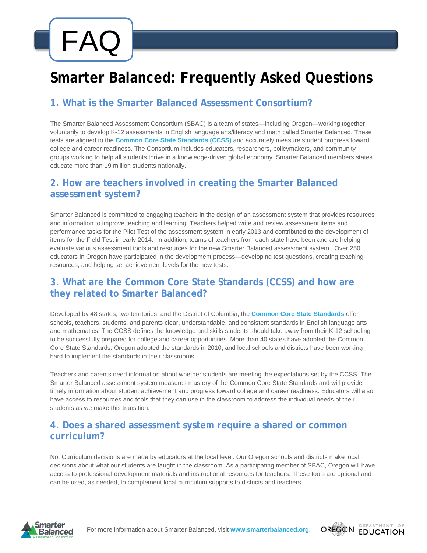# FAQ

# **Smarter Balanced: Frequently Asked Questions**

## **[1. What is the Smarter Balanced Assessment Consortium?](http://www.smarterbalanced.org/resources-events/faqs/)**

The Smarter Balanced Assessment Consortium (SBAC) is a team of states—including Oregon—working together voluntarily to develop K-12 assessments in English language arts/literacy and math called Smarter Balanced. These tests are aligned to the **[Common Core State Standards \(CCSS\)](http://www.corestandards.org/)** and accurately measure student progress toward college and career readiness. The Consortium includes educators, researchers, policymakers, and community groups working to help all students thrive in a knowledge-driven global economy. Smarter Balanced members states educate more than 19 million students nationally.

#### **[2. How are teachers involved in creating the Smarter Balanced](http://www.smarterbalanced.org/resources-events/faqs/)  [assessment system?](http://www.smarterbalanced.org/resources-events/faqs/)**

Smarter Balanced is committed to engaging teachers in the design of an assessment system that provides resources and information to improve teaching and learning. Teachers helped write and review assessment items and performance tasks for the Pilot Test of the assessment system in early 2013 and contributed to the development of items for the Field Test in early 2014. In addition, teams of teachers from each state have been and are helping evaluate various assessment tools and resources for the new Smarter Balanced assessment system. Over 250 educators in Oregon have participated in the development process—developing test questions, creating teaching resources, and helping set achievement levels for the new tests.

#### **[3. What are the Common Core State Standards \(CCSS\) and how are](http://www.smarterbalanced.org/resources-events/faqs/)  [they related to Smarter Balanced?](http://www.smarterbalanced.org/resources-events/faqs/)**

Developed by 48 states, two territories, and the District of Columbia, the **[Common Core State Standards](http://www.corestandards.org/)** offer schools, teachers, students, and parents clear, understandable, and consistent standards in English language arts and mathematics. The CCSS defines the knowledge and skills students should take away from their K-12 schooling to be successfully prepared for college and career opportunities. More than 40 states have adopted the Common Core State Standards. Oregon adopted the standards in 2010, and local schools and districts have been working hard to implement the standards in their classrooms.

Teachers and parents need information about whether students are meeting the expectations set by the CCSS. The Smarter Balanced assessment system measures mastery of the Common Core State Standards and will provide timely information about student achievement and progress toward college and career readiness. Educators will also have access to resources and tools that they can use in the classroom to address the individual needs of their students as we make this transition.

#### **[4. Does a shared assessment system require a shared or common](http://www.smarterbalanced.org/resources-events/faqs/)  [curriculum?](http://www.smarterbalanced.org/resources-events/faqs/)**

No. Curriculum decisions are made by educators at the local level. Our Oregon schools and districts make local decisions about what our students are taught in the classroom. As a participating member of SBAC, Oregon will have access to professional development materials and instructional resources for teachers. These tools are optional and can be used, as needed, to complement local curriculum supports to districts and teachers.